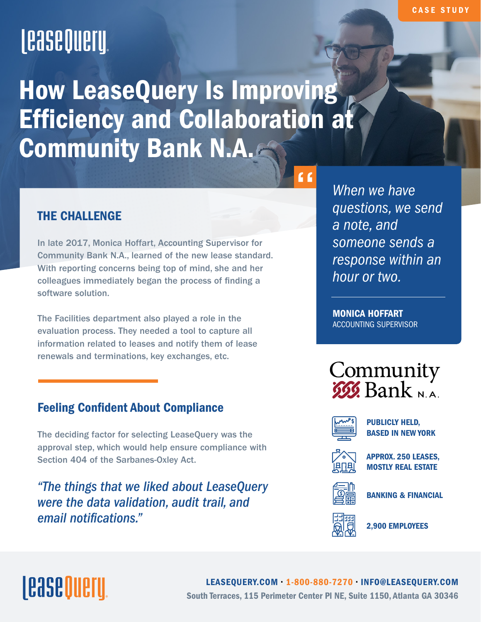## **LeaseQuery**

How LeaseQuery Is Improving **Efficiency and Collaboration at** Community Bank N.A.

### THE CHALLENGE

In late 2017, Monica Hoffart, Accounting Supervisor for Community Bank N.A., learned of the new lease standard. With reporting concerns being top of mind, she and her colleagues immediately began the process of finding a software solution.

The Facilities department also played a role in the evaluation process. They needed a tool to capture all information related to leases and notify them of lease renewals and terminations, key exchanges, etc.

### **Feeling Confident About Compliance**

The deciding factor for selecting LeaseQuery was the approval step, which would help ensure compliance with Section 404 of the Sarbanes-Oxley Act.

*"The things that we liked about LeaseQuery were the data validation, audit trail, and email notifications."*

*When we have questions, we send a note, and someone sends a response within an hour or two.*

MONICA HOFFART ACCOUNTING SUPERVISOR





 $66$ 

PUBLICLY HELD, BASED IN NEW YORK



APPROX. 250 LEASES, MOSTLY REAL ESTATE



BANKING & FINANCIAL

2,900 EMPLOYEES

# <u>lease Oueru</u>

[LEASEQUERY.COM](https://leasequery.com/) • 1-800-880-7270 • INFO@LEASEQUERY.COM South Terraces, 115 Perimeter Center Pl NE, Suite 1150, Atlanta GA 30346